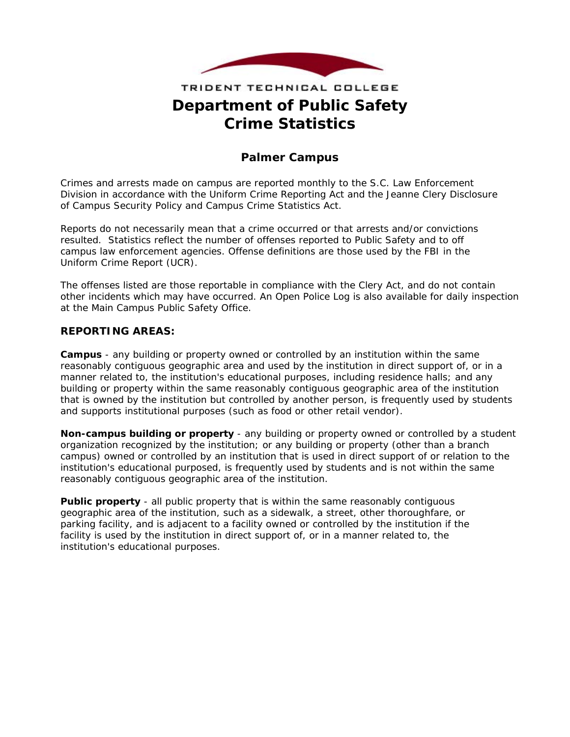

# TRIDENT TECHNICAL COLLEGE **Department of Public Safety Crime Statistics**

## **Palmer Campus**

Crimes and arrests made on campus are reported monthly to the S.C. Law Enforcement Division in accordance with the Uniform Crime Reporting Act and the Jeanne Clery Disclosure of Campus Security Policy and Campus Crime Statistics Act.

Reports do not necessarily mean that a crime occurred or that arrests and/or convictions resulted. Statistics reflect the number of offenses reported to Public Safety and to off campus law enforcement agencies. Offense definitions are those used by the FBI in the Uniform Crime Report (UCR).

The offenses listed are those reportable in compliance with the Clery Act, and do not contain other incidents which may have occurred. An Open Police Log is also available for daily inspection at the Main Campus Public Safety Office.

#### **REPORTING AREAS:**

**Campus** - any building or property owned or controlled by an institution within the same reasonably contiguous geographic area and used by the institution in direct support of, or in a manner related to, the institution's educational purposes, including residence halls; and any building or property within the same reasonably contiguous geographic area of the institution that is owned by the institution but controlled by another person, is frequently used by students and supports institutional purposes (such as food or other retail vendor).

**Non-campus building or property** - any building or property owned or controlled by a student organization recognized by the institution; or any building or property (other than a branch campus) owned or controlled by an institution that is used in direct support of or relation to the institution's educational purposed, is frequently used by students and is not within the same reasonably contiguous geographic area of the institution.

**Public property** - all public property that is within the same reasonably contiguous geographic area of the institution, such as a sidewalk, a street, other thoroughfare, or parking facility, and is adjacent to a facility owned or controlled by the institution if the facility is used by the institution in direct support of, or in a manner related to, the institution's educational purposes.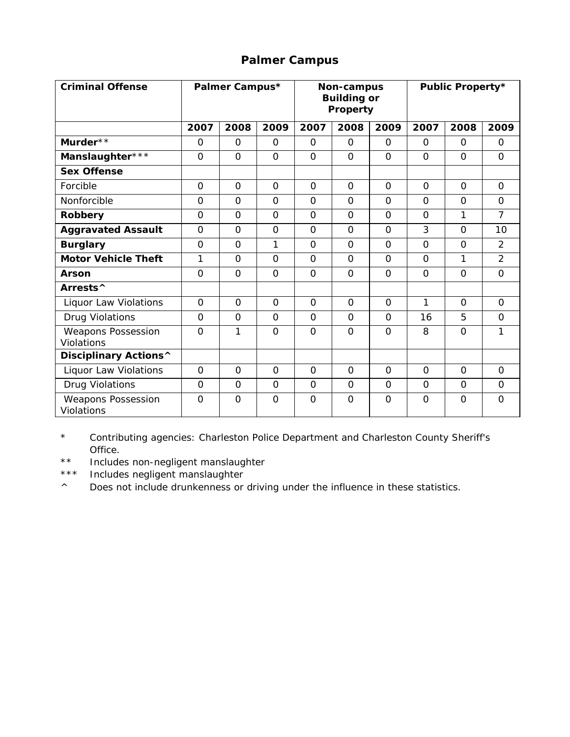## **Palmer Campus**

| <b>Criminal Offense</b>                 |             | Palmer Campus* |                |                | Non-campus<br><b>Building or</b><br>Property |                | <b>Public Property*</b> |                |                |  |  |  |
|-----------------------------------------|-------------|----------------|----------------|----------------|----------------------------------------------|----------------|-------------------------|----------------|----------------|--|--|--|
|                                         | 2007        | 2008           | 2009           | 2007           | 2008                                         | 2009           | 2007                    | 2008           | 2009           |  |  |  |
| Murder**                                | $\mathbf 0$ | $\Omega$       | $\Omega$       | $\mathbf 0$    | $\Omega$                                     | $\Omega$       | $\Omega$                | $\Omega$       | $\overline{O}$ |  |  |  |
| Manslaughter***                         | $\Omega$    | $\Omega$       | $\Omega$       | $\Omega$       | $\Omega$                                     | $\Omega$       | $\Omega$                | $\Omega$       | $\Omega$       |  |  |  |
| <b>Sex Offense</b>                      |             |                |                |                |                                              |                |                         |                |                |  |  |  |
| Forcible                                | $\Omega$    | $\Omega$       | $\overline{O}$ | $\Omega$       | $\overline{O}$                               | $\Omega$       | $\Omega$                | $\Omega$       | $\Omega$       |  |  |  |
| Nonforcible                             | $\Omega$    | $\Omega$       | $\Omega$       | $\Omega$       | $\Omega$                                     | $\Omega$       | $\Omega$                | $\Omega$       | $\Omega$       |  |  |  |
| Robbery                                 | $\Omega$    | $\Omega$       | $\Omega$       | $\Omega$       | $\Omega$                                     | $\Omega$       | $\Omega$                | 1              | $\overline{7}$ |  |  |  |
| <b>Aggravated Assault</b>               | $\Omega$    | $\Omega$       | $\overline{O}$ | $\Omega$       | $\overline{O}$                               | $\Omega$       | 3                       | $\overline{O}$ | 10             |  |  |  |
| <b>Burglary</b>                         | $\Omega$    | $\Omega$       | 1              | $\Omega$       | $\Omega$                                     | $\Omega$       | $\Omega$                | $\Omega$       | 2              |  |  |  |
| <b>Motor Vehicle Theft</b>              | 1           | $\Omega$       | $\Omega$       | $\Omega$       | $\Omega$                                     | $\Omega$       | $\Omega$                | 1              | $\overline{2}$ |  |  |  |
| Arson                                   | $\Omega$    | $\overline{O}$ | $\overline{0}$ | $\overline{O}$ | $\overline{0}$                               | $\overline{O}$ | $\overline{0}$          | $\overline{O}$ | $\overline{0}$ |  |  |  |
| Arrests^                                |             |                |                |                |                                              |                |                         |                |                |  |  |  |
| Liquor Law Violations                   | $\Omega$    | $\Omega$       | $\Omega$       | $\Omega$       | $\Omega$                                     | $\Omega$       | 1                       | $\Omega$       | $\Omega$       |  |  |  |
| Drug Violations                         | $\Omega$    | $\Omega$       | $\Omega$       | $\Omega$       | $\Omega$                                     | $\Omega$       | 16                      | 5              | $\Omega$       |  |  |  |
| <b>Weapons Possession</b><br>Violations | $\Omega$    | 1              | $\Omega$       | $\Omega$       | $\Omega$                                     | $\Omega$       | 8                       | $\Omega$       | 1              |  |  |  |
| Disciplinary Actions^                   |             |                |                |                |                                              |                |                         |                |                |  |  |  |
| Liquor Law Violations                   | $\Omega$    | $\Omega$       | $\Omega$       | $\Omega$       | $\Omega$                                     | $\Omega$       | $\Omega$                | $\Omega$       | $\Omega$       |  |  |  |
| Drug Violations                         | $\Omega$    | $\Omega$       | $\Omega$       | $\Omega$       | $\Omega$                                     | $\Omega$       | $\Omega$                | $\Omega$       | $\Omega$       |  |  |  |
| <b>Weapons Possession</b><br>Violations | $\Omega$    | $\Omega$       | $\Omega$       | $\Omega$       | $\Omega$                                     | $\Omega$       | $\Omega$                | $\Omega$       | $\Omega$       |  |  |  |

\* Contributing agencies: Charleston Police Department and Charleston County Sheriff's Office.

\*\* Includes non-negligent manslaughter

\*\*\* Includes negligent manslaughter

^ Does not include drunkenness or driving under the influence in these statistics.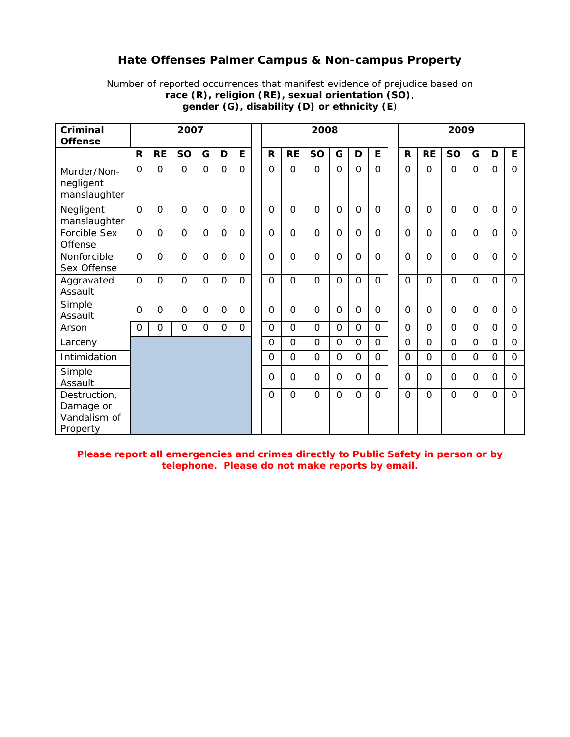#### **Hate Offenses Palmer Campus & Non-campus Property**

Number of reported occurrences that manifest evidence of prejudice based on **race (R), religion (RE), sexual orientation (SO)**, **gender (G), disability (D) or ethnicity (E**)

| Criminal<br><b>Offense</b>                            | 2007           |                |                |                |              |          |  |                |                | 2008           |                |                | 2009           |                |                |                |          |              |                |  |
|-------------------------------------------------------|----------------|----------------|----------------|----------------|--------------|----------|--|----------------|----------------|----------------|----------------|----------------|----------------|----------------|----------------|----------------|----------|--------------|----------------|--|
|                                                       | $\mathsf{R}$   | <b>RE</b>      | <b>SO</b>      | G              | D            | E        |  | $\mathsf{R}$   | <b>RE</b>      | <b>SO</b>      | G              | D              | E              | R              | <b>RE</b>      | <b>SO</b>      | G        | D            | E              |  |
| Murder/Non-<br>negligent<br>manslaughter              | $\Omega$       | $\Omega$       | $\Omega$       | $\overline{O}$ | $\Omega$     | $\Omega$ |  | $\overline{0}$ | $\Omega$       | $\Omega$       | $\Omega$       | $\overline{O}$ | $\Omega$       | $\Omega$       | $\Omega$       | $\Omega$       | $\Omega$ | $\mathbf{O}$ | 0              |  |
| Negligent<br>manslaughter                             | $\Omega$       | $\Omega$       | $\Omega$       | $\Omega$       | $\Omega$     | $\Omega$ |  | $\Omega$       | $\Omega$       | $\Omega$       | $\Omega$       | $\Omega$       | $\Omega$       | $\Omega$       | $\Omega$       | $\Omega$       | $\Omega$ | $\Omega$     | $\Omega$       |  |
| Forcible Sex<br>Offense                               | $\Omega$       | $\Omega$       | $\Omega$       | $\Omega$       | $\Omega$     | $\Omega$ |  | $\Omega$       | $\Omega$       | $\Omega$       | $\Omega$       | $\overline{O}$ | $\Omega$       | $\Omega$       | $\Omega$       | $\Omega$       | $\Omega$ | $\mathbf{O}$ | $\Omega$       |  |
| Nonforcible<br>Sex Offense                            | $\Omega$       | $\overline{O}$ | $\Omega$       | $\overline{O}$ | $\Omega$     | $\Omega$ |  | $\overline{O}$ | $\Omega$       | $\Omega$       | 0              | $\overline{O}$ | $\Omega$       | $\Omega$       | $\Omega$       | $\Omega$       | $\Omega$ | $\mathbf 0$  | $\Omega$       |  |
| Aggravated<br>Assault                                 | $\Omega$       | $\overline{0}$ | $\Omega$       | $\Omega$       | $\Omega$     | $\Omega$ |  | $\overline{0}$ | $\Omega$       | $\Omega$       | $\Omega$       | $\overline{0}$ | $\Omega$       | $\Omega$       | $\Omega$       | $\Omega$       | $\Omega$ | $\Omega$     | $\Omega$       |  |
| Simple<br>Assault                                     | $\overline{0}$ | $\Omega$       | $\Omega$       | $\Omega$       | $\Omega$     | $\Omega$ |  | $\Omega$       | $\Omega$       | $\Omega$       | $\Omega$       | $\Omega$       | $\Omega$       | $\Omega$       | $\Omega$       | $\Omega$       | $\Omega$ | $\Omega$     | O              |  |
| Arson                                                 | $\Omega$       | $\overline{O}$ | $\overline{O}$ | $\overline{O}$ | $\mathsf{O}$ | $\Omega$ |  | $\overline{0}$ | $\mathsf{O}$   | $\Omega$       | 0              | $\overline{O}$ | $\Omega$       | $\overline{0}$ | $\overline{0}$ | $\overline{0}$ | $\Omega$ | $\mathbf 0$  | $\overline{O}$ |  |
| Larceny                                               |                |                |                |                |              |          |  | $\Omega$       | $\Omega$       | $\Omega$       | $\Omega$       | $\mathbf 0$    | $\Omega$       | $\mathbf 0$    | $\Omega$       | $\Omega$       | $\Omega$ | $\mathbf 0$  | $\Omega$       |  |
| Intimidation                                          |                |                |                |                |              |          |  | $\overline{O}$ | $\Omega$       | $\overline{O}$ | $\overline{O}$ | $\overline{O}$ | $\overline{O}$ | $\overline{O}$ | $\overline{O}$ | $\overline{0}$ | $\Omega$ | $\mathbf 0$  | $\overline{O}$ |  |
| Simple<br>Assault                                     |                |                |                |                |              |          |  | $\overline{0}$ | $\Omega$       | $\Omega$       | $\Omega$       | $\overline{O}$ | $\Omega$       | $\Omega$       | $\Omega$       | $\overline{O}$ | $\Omega$ | $\mathbf 0$  | 0              |  |
| Destruction,<br>Damage or<br>Vandalism of<br>Property |                |                |                |                |              |          |  | $\overline{O}$ | $\overline{0}$ | $\Omega$       | $\Omega$       | $\overline{O}$ | $\Omega$       | $\Omega$       | $\overline{0}$ | $\overline{0}$ | $\Omega$ | $\Omega$     | $\overline{O}$ |  |

**Please report all emergencies and crimes directly to Public Safety in person or by telephone. Please do not make reports by email.**